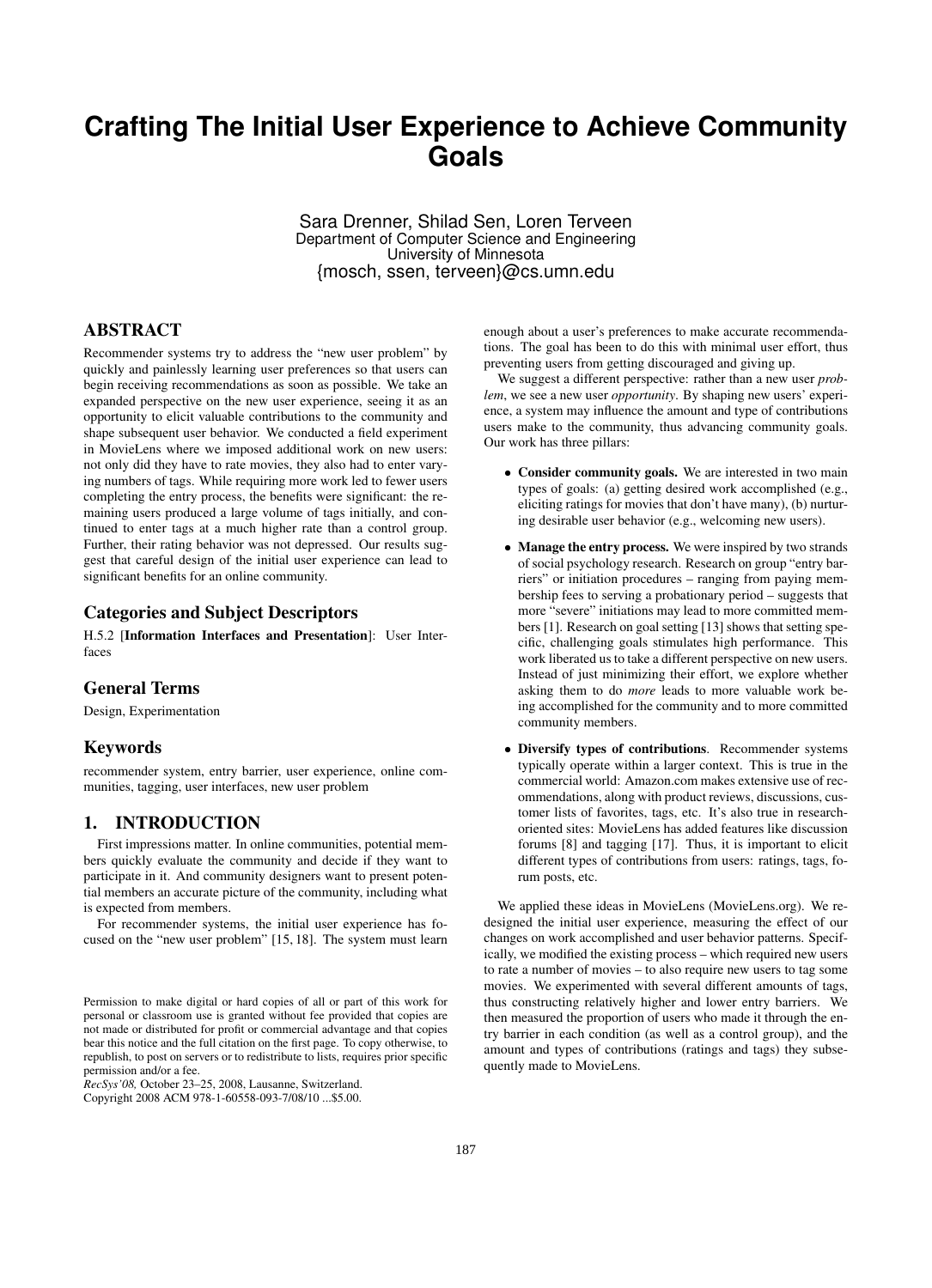# **Crafting The Initial User Experience to Achieve Community Goals**

Sara Drenner, Shilad Sen, Loren Terveen Department of Computer Science and Engineering University of Minnesota {mosch, ssen, terveen}@cs.umn.edu

## **ABSTRACT**

Recommender systems try to address the "new user problem" by quickly and painlessly learning user preferences so that users can begin receiving recommendations as soon as possible. We take an expanded perspective on the new user experience, seeing it as an opportunity to elicit valuable contributions to the community and shape subsequent user behavior. We conducted a field experiment in MovieLens where we imposed additional work on new users: not only did they have to rate movies, they also had to enter varying numbers of tags. While requiring more work led to fewer users completing the entry process, the benefits were significant: the remaining users produced a large volume of tags initially, and continued to enter tags at a much higher rate than a control group. Further, their rating behavior was not depressed. Our results suggest that careful design of the initial user experience can lead to significant benefits for an online community.

#### Categories and Subject Descriptors

H.5.2 [Information Interfaces and Presentation]: User Interfaces

# General Terms

Design, Experimentation

#### Keywords

recommender system, entry barrier, user experience, online communities, tagging, user interfaces, new user problem

## 1. INTRODUCTION

First impressions matter. In online communities, potential members quickly evaluate the community and decide if they want to participate in it. And community designers want to present potential members an accurate picture of the community, including what is expected from members.

For recommender systems, the initial user experience has focused on the "new user problem" [15, 18]. The system must learn

*RecSys'08,* October 23–25, 2008, Lausanne, Switzerland.

Copyright 2008 ACM 978-1-60558-093-7/08/10 ...\$5.00.

enough about a user's preferences to make accurate recommendations. The goal has been to do this with minimal user effort, thus preventing users from getting discouraged and giving up.

We suggest a different perspective: rather than a new user *problem*, we see a new user *opportunity*. By shaping new users' experience, a system may influence the amount and type of contributions users make to the community, thus advancing community goals. Our work has three pillars:

- Consider community goals. We are interested in two main types of goals: (a) getting desired work accomplished (e.g., eliciting ratings for movies that don't have many), (b) nurturing desirable user behavior (e.g., welcoming new users).
- Manage the entry process. We were inspired by two strands of social psychology research. Research on group "entry barriers" or initiation procedures – ranging from paying membership fees to serving a probationary period – suggests that more "severe" initiations may lead to more committed members [1]. Research on goal setting [13] shows that setting specific, challenging goals stimulates high performance. This work liberated us to take a different perspective on new users. Instead of just minimizing their effort, we explore whether asking them to do *more* leads to more valuable work being accomplished for the community and to more committed community members.
- Diversify types of contributions. Recommender systems typically operate within a larger context. This is true in the commercial world: Amazon.com makes extensive use of recommendations, along with product reviews, discussions, customer lists of favorites, tags, etc. It's also true in researchoriented sites: MovieLens has added features like discussion forums [8] and tagging [17]. Thus, it is important to elicit different types of contributions from users: ratings, tags, forum posts, etc.

We applied these ideas in MovieLens (MovieLens.org). We redesigned the initial user experience, measuring the effect of our changes on work accomplished and user behavior patterns. Specifically, we modified the existing process – which required new users to rate a number of movies – to also require new users to tag some movies. We experimented with several different amounts of tags, thus constructing relatively higher and lower entry barriers. We then measured the proportion of users who made it through the entry barrier in each condition (as well as a control group), and the amount and types of contributions (ratings and tags) they subsequently made to MovieLens.

Permission to make digital or hard copies of all or part of this work for personal or classroom use is granted without fee provided that copies are not made or distributed for profit or commercial advantage and that copies bear this notice and the full citation on the first page. To copy otherwise, to republish, to post on servers or to redistribute to lists, requires prior specific permission and/or a fee.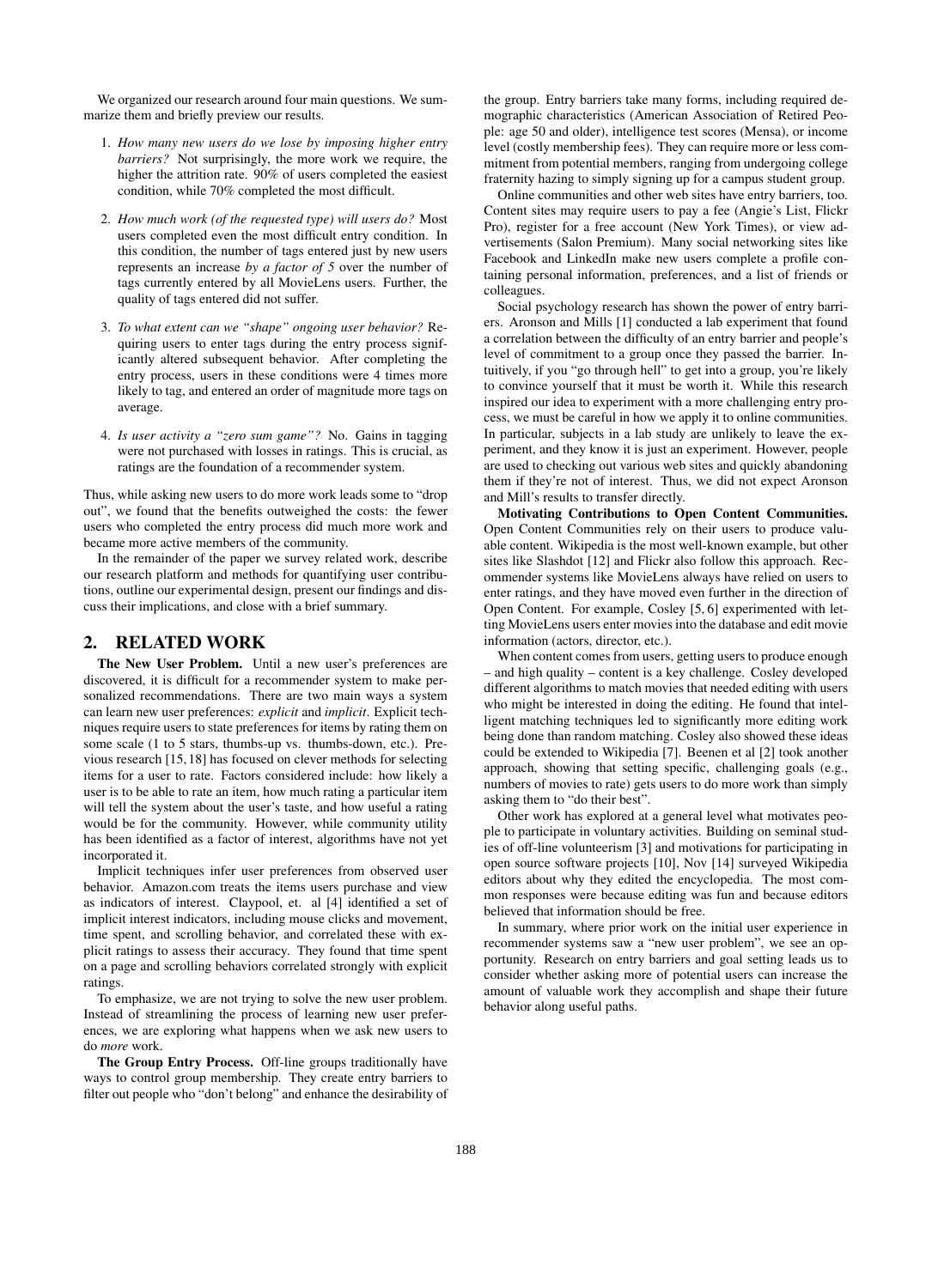We organized our research around four main questions. We summarize them and briefly preview our results.

- 1. *How many new users do we lose by imposing higher entry barriers?* Not surprisingly, the more work we require, the higher the attrition rate. 90% of users completed the easiest condition, while 70% completed the most difficult.
- 2. *How much work (of the requested type) will users do?* Most users completed even the most difficult entry condition. In this condition, the number of tags entered just by new users represents an increase *by a factor of 5* over the number of tags currently entered by all MovieLens users. Further, the quality of tags entered did not suffer.
- 3. *To what extent can we "shape" ongoing user behavior?* Requiring users to enter tags during the entry process significantly altered subsequent behavior. After completing the entry process, users in these conditions were 4 times more likely to tag, and entered an order of magnitude more tags on average.
- 4. *Is user activity a "zero sum game"?* No. Gains in tagging were not purchased with losses in ratings. This is crucial, as ratings are the foundation of a recommender system.

Thus, while asking new users to do more work leads some to "drop out", we found that the benefits outweighed the costs: the fewer users who completed the entry process did much more work and became more active members of the community.

In the remainder of the paper we survey related work, describe our research platform and methods for quantifying user contributions, outline our experimental design, present our findings and discuss their implications, and close with a brief summary.

# 2. RELATED WORK

The New User Problem. Until a new user's preferences are discovered, it is difficult for a recommender system to make personalized recommendations. There are two main ways a system can learn new user preferences: *explicit* and *implicit*. Explicit techniques require users to state preferences for items by rating them on some scale (1 to 5 stars, thumbs-up vs. thumbs-down, etc.). Previous research [15, 18] has focused on clever methods for selecting items for a user to rate. Factors considered include: how likely a user is to be able to rate an item, how much rating a particular item will tell the system about the user's taste, and how useful a rating would be for the community. However, while community utility has been identified as a factor of interest, algorithms have not yet incorporated it.

Implicit techniques infer user preferences from observed user behavior. Amazon.com treats the items users purchase and view as indicators of interest. Claypool, et. al [4] identified a set of implicit interest indicators, including mouse clicks and movement, time spent, and scrolling behavior, and correlated these with explicit ratings to assess their accuracy. They found that time spent on a page and scrolling behaviors correlated strongly with explicit ratings.

To emphasize, we are not trying to solve the new user problem. Instead of streamlining the process of learning new user preferences, we are exploring what happens when we ask new users to do *more* work.

The Group Entry Process. Off-line groups traditionally have ways to control group membership. They create entry barriers to filter out people who "don't belong" and enhance the desirability of the group. Entry barriers take many forms, including required demographic characteristics (American Association of Retired People: age 50 and older), intelligence test scores (Mensa), or income level (costly membership fees). They can require more or less commitment from potential members, ranging from undergoing college fraternity hazing to simply signing up for a campus student group.

Online communities and other web sites have entry barriers, too. Content sites may require users to pay a fee (Angie's List, Flickr Pro), register for a free account (New York Times), or view advertisements (Salon Premium). Many social networking sites like Facebook and LinkedIn make new users complete a profile containing personal information, preferences, and a list of friends or colleagues.

Social psychology research has shown the power of entry barriers. Aronson and Mills [1] conducted a lab experiment that found a correlation between the difficulty of an entry barrier and people's level of commitment to a group once they passed the barrier. Intuitively, if you "go through hell" to get into a group, you're likely to convince yourself that it must be worth it. While this research inspired our idea to experiment with a more challenging entry process, we must be careful in how we apply it to online communities. In particular, subjects in a lab study are unlikely to leave the experiment, and they know it is just an experiment. However, people are used to checking out various web sites and quickly abandoning them if they're not of interest. Thus, we did not expect Aronson and Mill's results to transfer directly.

Motivating Contributions to Open Content Communities. Open Content Communities rely on their users to produce valuable content. Wikipedia is the most well-known example, but other sites like Slashdot [12] and Flickr also follow this approach. Recommender systems like MovieLens always have relied on users to enter ratings, and they have moved even further in the direction of Open Content. For example, Cosley [5, 6] experimented with letting MovieLens users enter movies into the database and edit movie information (actors, director, etc.).

When content comes from users, getting users to produce enough – and high quality – content is a key challenge. Cosley developed different algorithms to match movies that needed editing with users who might be interested in doing the editing. He found that intelligent matching techniques led to significantly more editing work being done than random matching. Cosley also showed these ideas could be extended to Wikipedia [7]. Beenen et al [2] took another approach, showing that setting specific, challenging goals (e.g., numbers of movies to rate) gets users to do more work than simply asking them to "do their best".

Other work has explored at a general level what motivates people to participate in voluntary activities. Building on seminal studies of off-line volunteerism [3] and motivations for participating in open source software projects [10], Nov [14] surveyed Wikipedia editors about why they edited the encyclopedia. The most common responses were because editing was fun and because editors believed that information should be free.

In summary, where prior work on the initial user experience in recommender systems saw a "new user problem", we see an opportunity. Research on entry barriers and goal setting leads us to consider whether asking more of potential users can increase the amount of valuable work they accomplish and shape their future behavior along useful paths.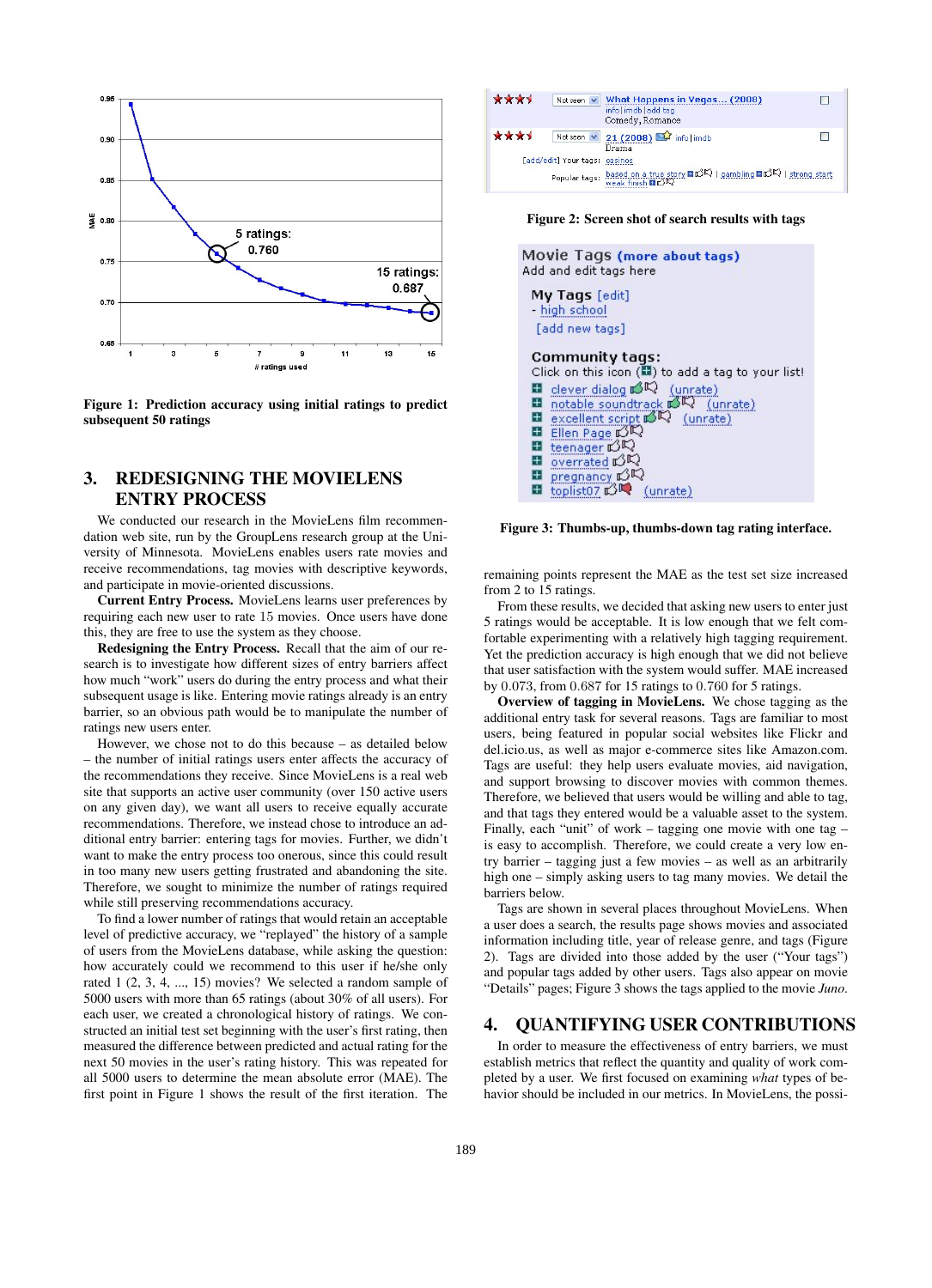

Figure 1: Prediction accuracy using initial ratings to predict subsequent 50 ratings

# 3. REDESIGNING THE MOVIELENS ENTRY PROCESS

We conducted our research in the MovieLens film recommendation web site, run by the GroupLens research group at the University of Minnesota. MovieLens enables users rate movies and receive recommendations, tag movies with descriptive keywords, and participate in movie-oriented discussions.

Current Entry Process. MovieLens learns user preferences by requiring each new user to rate 15 movies. Once users have done this, they are free to use the system as they choose.

Redesigning the Entry Process. Recall that the aim of our research is to investigate how different sizes of entry barriers affect how much "work" users do during the entry process and what their subsequent usage is like. Entering movie ratings already is an entry barrier, so an obvious path would be to manipulate the number of ratings new users enter.

However, we chose not to do this because – as detailed below – the number of initial ratings users enter affects the accuracy of the recommendations they receive. Since MovieLens is a real web site that supports an active user community (over 150 active users on any given day), we want all users to receive equally accurate recommendations. Therefore, we instead chose to introduce an additional entry barrier: entering tags for movies. Further, we didn't want to make the entry process too onerous, since this could result in too many new users getting frustrated and abandoning the site. Therefore, we sought to minimize the number of ratings required while still preserving recommendations accuracy.

To find a lower number of ratings that would retain an acceptable level of predictive accuracy, we "replayed" the history of a sample of users from the MovieLens database, while asking the question: how accurately could we recommend to this user if he/she only rated 1 (2, 3, 4, ..., 15) movies? We selected a random sample of 5000 users with more than 65 ratings (about 30% of all users). For each user, we created a chronological history of ratings. We constructed an initial test set beginning with the user's first rating, then measured the difference between predicted and actual rating for the next 50 movies in the user's rating history. This was repeated for all 5000 users to determine the mean absolute error (MAE). The first point in Figure 1 shows the result of the first iteration. The

| ****<br>Not seen $\vee$                                                                           | What Happens in Vegas (2008)<br>info imdb add tag<br>Comedy, Romance |  |
|---------------------------------------------------------------------------------------------------|----------------------------------------------------------------------|--|
| ****<br>Not seen $\vee$                                                                           | 21 (2008) 24 info limdb<br>Drama                                     |  |
| [add/edit] Your tags:                                                                             | casinos                                                              |  |
| based on a true story ⊠ CIC   gambling ⊠ CIC   strong start<br>weak finish ⊠ CIC<br>Popular tags: |                                                                      |  |

Figure 2: Screen shot of search results with tags

| Movie Tags (more about tags)<br>Add and edit tags here                                                                                                                                                                                                                                                                                                                                              |  |
|-----------------------------------------------------------------------------------------------------------------------------------------------------------------------------------------------------------------------------------------------------------------------------------------------------------------------------------------------------------------------------------------------------|--|
| My Tags [edit]<br>high school<br>[add new tags]                                                                                                                                                                                                                                                                                                                                                     |  |
| <b>Community tags:</b><br>Click on this icon ((iii) to add a tag to your list<br>$\blacksquare$ clever dialog $\mathbb{R}^{\mathbb{C}}$ (unrate)<br>notable soundtrack $\mathbb{R}^{\mathbb{C}}$ (unrate)<br>excellent script $\mathbb{R}$ (unrate)<br>■ Ellen Page 必収<br><b>□</b> teenager 10<br><b>■</b> overrated 的吗<br><b>□</b> pregnancy <b>C</b> C<br>toplist07 n3 <sup>m</sup> (unrate)<br>Ŧ |  |
|                                                                                                                                                                                                                                                                                                                                                                                                     |  |

Figure 3: Thumbs-up, thumbs-down tag rating interface.

remaining points represent the MAE as the test set size increased from 2 to 15 ratings.

From these results, we decided that asking new users to enter just 5 ratings would be acceptable. It is low enough that we felt comfortable experimenting with a relatively high tagging requirement. Yet the prediction accuracy is high enough that we did not believe that user satisfaction with the system would suffer. MAE increased by 0.073, from 0.687 for 15 ratings to 0.760 for 5 ratings.

Overview of tagging in MovieLens. We chose tagging as the additional entry task for several reasons. Tags are familiar to most users, being featured in popular social websites like Flickr and del.icio.us, as well as major e-commerce sites like Amazon.com. Tags are useful: they help users evaluate movies, aid navigation, and support browsing to discover movies with common themes. Therefore, we believed that users would be willing and able to tag, and that tags they entered would be a valuable asset to the system. Finally, each "unit" of work – tagging one movie with one tag – is easy to accomplish. Therefore, we could create a very low entry barrier – tagging just a few movies – as well as an arbitrarily high one – simply asking users to tag many movies. We detail the barriers below.

Tags are shown in several places throughout MovieLens. When a user does a search, the results page shows movies and associated information including title, year of release genre, and tags (Figure 2). Tags are divided into those added by the user ("Your tags") and popular tags added by other users. Tags also appear on movie "Details" pages; Figure 3 shows the tags applied to the movie *Juno*.

## 4. QUANTIFYING USER CONTRIBUTIONS

In order to measure the effectiveness of entry barriers, we must establish metrics that reflect the quantity and quality of work completed by a user. We first focused on examining *what* types of behavior should be included in our metrics. In MovieLens, the possi-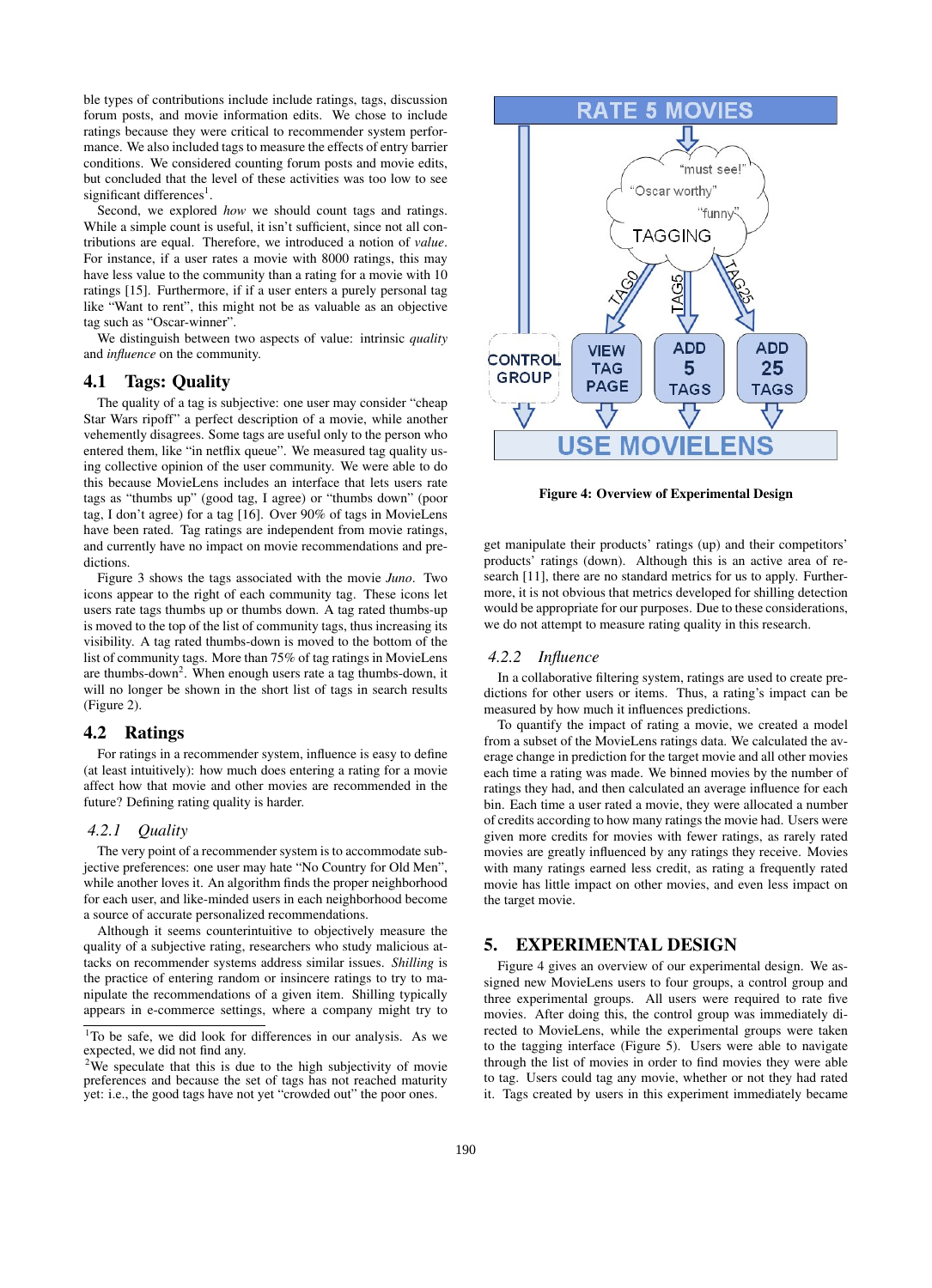ble types of contributions include include ratings, tags, discussion forum posts, and movie information edits. We chose to include ratings because they were critical to recommender system performance. We also included tags to measure the effects of entry barrier conditions. We considered counting forum posts and movie edits, but concluded that the level of these activities was too low to see significant differences<sup>1</sup>.

Second, we explored *how* we should count tags and ratings. While a simple count is useful, it isn't sufficient, since not all contributions are equal. Therefore, we introduced a notion of *value*. For instance, if a user rates a movie with 8000 ratings, this may have less value to the community than a rating for a movie with 10 ratings [15]. Furthermore, if if a user enters a purely personal tag like "Want to rent", this might not be as valuable as an objective tag such as "Oscar-winner".

We distinguish between two aspects of value: intrinsic *quality* and *influence* on the community.

#### 4.1 Tags: Quality

The quality of a tag is subjective: one user may consider "cheap Star Wars ripoff" a perfect description of a movie, while another vehemently disagrees. Some tags are useful only to the person who entered them, like "in netflix queue". We measured tag quality using collective opinion of the user community. We were able to do this because MovieLens includes an interface that lets users rate tags as "thumbs up" (good tag, I agree) or "thumbs down" (poor tag, I don't agree) for a tag [16]. Over 90% of tags in MovieLens have been rated. Tag ratings are independent from movie ratings, and currently have no impact on movie recommendations and predictions.

Figure 3 shows the tags associated with the movie *Juno*. Two icons appear to the right of each community tag. These icons let users rate tags thumbs up or thumbs down. A tag rated thumbs-up is moved to the top of the list of community tags, thus increasing its visibility. A tag rated thumbs-down is moved to the bottom of the list of community tags. More than 75% of tag ratings in MovieLens are thumbs-down<sup>2</sup>. When enough users rate a tag thumbs-down, it will no longer be shown in the short list of tags in search results (Figure 2).

#### 4.2 Ratings

For ratings in a recommender system, influence is easy to define (at least intuitively): how much does entering a rating for a movie affect how that movie and other movies are recommended in the future? Defining rating quality is harder.

#### *4.2.1 Quality*

The very point of a recommender system is to accommodate subjective preferences: one user may hate "No Country for Old Men", while another loves it. An algorithm finds the proper neighborhood for each user, and like-minded users in each neighborhood become a source of accurate personalized recommendations.

Although it seems counterintuitive to objectively measure the quality of a subjective rating, researchers who study malicious attacks on recommender systems address similar issues. *Shilling* is the practice of entering random or insincere ratings to try to manipulate the recommendations of a given item. Shilling typically appears in e-commerce settings, where a company might try to



Figure 4: Overview of Experimental Design

get manipulate their products' ratings (up) and their competitors' products' ratings (down). Although this is an active area of research [11], there are no standard metrics for us to apply. Furthermore, it is not obvious that metrics developed for shilling detection would be appropriate for our purposes. Due to these considerations, we do not attempt to measure rating quality in this research.

#### *4.2.2 Influence*

In a collaborative filtering system, ratings are used to create predictions for other users or items. Thus, a rating's impact can be measured by how much it influences predictions.

To quantify the impact of rating a movie, we created a model from a subset of the MovieLens ratings data. We calculated the average change in prediction for the target movie and all other movies each time a rating was made. We binned movies by the number of ratings they had, and then calculated an average influence for each bin. Each time a user rated a movie, they were allocated a number of credits according to how many ratings the movie had. Users were given more credits for movies with fewer ratings, as rarely rated movies are greatly influenced by any ratings they receive. Movies with many ratings earned less credit, as rating a frequently rated movie has little impact on other movies, and even less impact on the target movie.

# 5. EXPERIMENTAL DESIGN

Figure 4 gives an overview of our experimental design. We assigned new MovieLens users to four groups, a control group and three experimental groups. All users were required to rate five movies. After doing this, the control group was immediately directed to MovieLens, while the experimental groups were taken to the tagging interface (Figure 5). Users were able to navigate through the list of movies in order to find movies they were able to tag. Users could tag any movie, whether or not they had rated it. Tags created by users in this experiment immediately became

<sup>&</sup>lt;sup>1</sup>To be safe, we did look for differences in our analysis. As we expected, we did not find any.

 $2$ We speculate that this is due to the high subjectivity of movie preferences and because the set of tags has not reached maturity yet: i.e., the good tags have not yet "crowded out" the poor ones.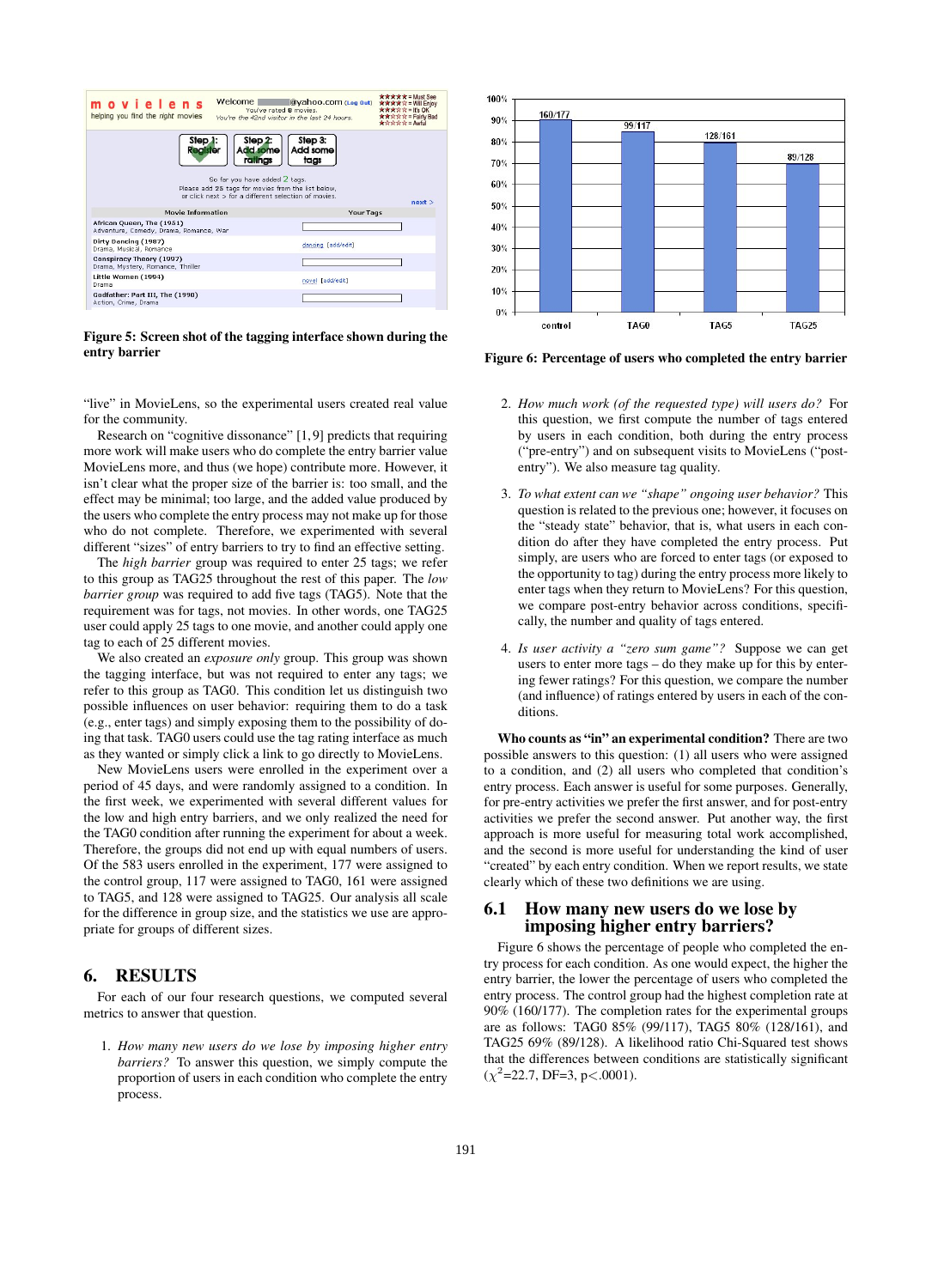| Welcome<br>movielens<br>helping you find the right movies                                                                                                                                                                                                            | $\hat{\mathbf{x}} \hat{\mathbf{x}} \hat{\mathbf{x}} \hat{\mathbf{x}} \hat{\mathbf{x}} =$ Must See<br>@yahoo.com (Log Out)<br><b>****</b> * = Will Enjoy<br>You've rated 8 movies.<br>***** = it's OK<br><b>******</b> = Fairly Bad<br>You're the 42nd visitor in the last 24 hours.<br>★☆☆☆☆ = Awful |  |  |  |
|----------------------------------------------------------------------------------------------------------------------------------------------------------------------------------------------------------------------------------------------------------------------|------------------------------------------------------------------------------------------------------------------------------------------------------------------------------------------------------------------------------------------------------------------------------------------------------|--|--|--|
| Step <sub>2</sub> :<br>Step 3:<br>Step <sub>1:</sub><br>Add some<br>Add some<br>Recister<br>ratinas<br>tags<br>So far you have added 2 tags.<br>Please add 25 tags for movies from the list below,<br>or click next > for a different selection of movies.<br>next > |                                                                                                                                                                                                                                                                                                      |  |  |  |
| <b>Movie Information</b>                                                                                                                                                                                                                                             | Your Tags                                                                                                                                                                                                                                                                                            |  |  |  |
| African Queen, The (1951)<br>Adventure, Comedy, Drama, Romance, War                                                                                                                                                                                                  |                                                                                                                                                                                                                                                                                                      |  |  |  |
| Dirty Dancing (1987)<br>Drama, Musical, Romance                                                                                                                                                                                                                      | dancing [add/edit]                                                                                                                                                                                                                                                                                   |  |  |  |
| Conspiracy Theory (1997)<br>Drama, Mystery, Romance, Thriller                                                                                                                                                                                                        |                                                                                                                                                                                                                                                                                                      |  |  |  |
| Little Women (1994)<br>Drama                                                                                                                                                                                                                                         | novel [add/edit]                                                                                                                                                                                                                                                                                     |  |  |  |
| Godfather: Part III, The (1990)<br>Action, Crime, Drama                                                                                                                                                                                                              |                                                                                                                                                                                                                                                                                                      |  |  |  |
|                                                                                                                                                                                                                                                                      |                                                                                                                                                                                                                                                                                                      |  |  |  |

Figure 5: Screen shot of the tagging interface shown during the entry barrier

"live" in MovieLens, so the experimental users created real value for the community.

Research on "cognitive dissonance" [1, 9] predicts that requiring more work will make users who do complete the entry barrier value MovieLens more, and thus (we hope) contribute more. However, it isn't clear what the proper size of the barrier is: too small, and the effect may be minimal; too large, and the added value produced by the users who complete the entry process may not make up for those who do not complete. Therefore, we experimented with several different "sizes" of entry barriers to try to find an effective setting.

The *high barrier* group was required to enter 25 tags; we refer to this group as TAG25 throughout the rest of this paper. The *low barrier group* was required to add five tags (TAG5). Note that the requirement was for tags, not movies. In other words, one TAG25 user could apply 25 tags to one movie, and another could apply one tag to each of 25 different movies.

We also created an *exposure only* group. This group was shown the tagging interface, but was not required to enter any tags; we refer to this group as TAG0. This condition let us distinguish two possible influences on user behavior: requiring them to do a task (e.g., enter tags) and simply exposing them to the possibility of doing that task. TAG0 users could use the tag rating interface as much as they wanted or simply click a link to go directly to MovieLens.

New MovieLens users were enrolled in the experiment over a period of 45 days, and were randomly assigned to a condition. In the first week, we experimented with several different values for the low and high entry barriers, and we only realized the need for the TAG0 condition after running the experiment for about a week. Therefore, the groups did not end up with equal numbers of users. Of the 583 users enrolled in the experiment, 177 were assigned to the control group, 117 were assigned to TAG0, 161 were assigned to TAG5, and 128 were assigned to TAG25. Our analysis all scale for the difference in group size, and the statistics we use are appropriate for groups of different sizes.

# 6. RESULTS

For each of our four research questions, we computed several metrics to answer that question.

1. *How many new users do we lose by imposing higher entry barriers?* To answer this question, we simply compute the proportion of users in each condition who complete the entry process.



Figure 6: Percentage of users who completed the entry barrier

- 2. *How much work (of the requested type) will users do?* For this question, we first compute the number of tags entered by users in each condition, both during the entry process ("pre-entry") and on subsequent visits to MovieLens ("postentry"). We also measure tag quality.
- 3. *To what extent can we "shape" ongoing user behavior?* This question is related to the previous one; however, it focuses on the "steady state" behavior, that is, what users in each condition do after they have completed the entry process. Put simply, are users who are forced to enter tags (or exposed to the opportunity to tag) during the entry process more likely to enter tags when they return to MovieLens? For this question, we compare post-entry behavior across conditions, specifically, the number and quality of tags entered.
- 4. *Is user activity a "zero sum game"?* Suppose we can get users to enter more tags – do they make up for this by entering fewer ratings? For this question, we compare the number (and influence) of ratings entered by users in each of the conditions.

Who counts as "in" an experimental condition? There are two possible answers to this question: (1) all users who were assigned to a condition, and (2) all users who completed that condition's entry process. Each answer is useful for some purposes. Generally, for pre-entry activities we prefer the first answer, and for post-entry activities we prefer the second answer. Put another way, the first approach is more useful for measuring total work accomplished, and the second is more useful for understanding the kind of user "created" by each entry condition. When we report results, we state clearly which of these two definitions we are using.

## 6.1 How many new users do we lose by imposing higher entry barriers?

Figure 6 shows the percentage of people who completed the entry process for each condition. As one would expect, the higher the entry barrier, the lower the percentage of users who completed the entry process. The control group had the highest completion rate at 90% (160/177). The completion rates for the experimental groups are as follows: TAG0 85% (99/117), TAG5 80% (128/161), and TAG25 69% (89/128). A likelihood ratio Chi-Squared test shows that the differences between conditions are statistically significant  $(\chi^2$ =22.7, DF=3, p<.0001).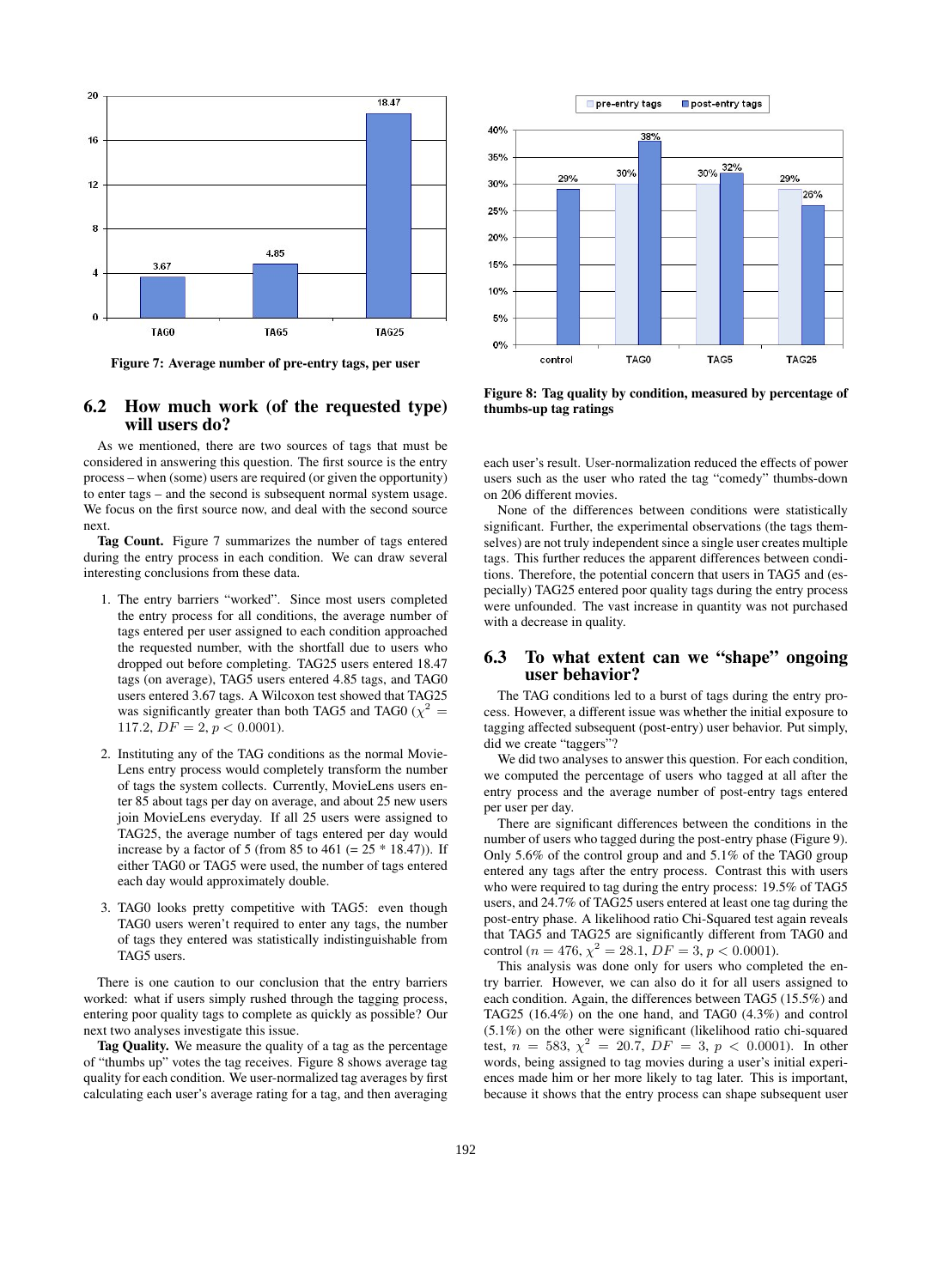

Figure 7: Average number of pre-entry tags, per user

#### 6.2 How much work (of the requested type) will users do?

As we mentioned, there are two sources of tags that must be considered in answering this question. The first source is the entry process – when (some) users are required (or given the opportunity) to enter tags – and the second is subsequent normal system usage. We focus on the first source now, and deal with the second source next.

Tag Count. Figure 7 summarizes the number of tags entered during the entry process in each condition. We can draw several interesting conclusions from these data.

- 1. The entry barriers "worked". Since most users completed the entry process for all conditions, the average number of tags entered per user assigned to each condition approached the requested number, with the shortfall due to users who dropped out before completing. TAG25 users entered 18.47 tags (on average), TAG5 users entered 4.85 tags, and TAG0 users entered 3.67 tags. A Wilcoxon test showed that TAG25 was significantly greater than both TAG5 and TAG0 ( $\chi^2$  = 117.2,  $DF = 2, p < 0.0001$ ).
- 2. Instituting any of the TAG conditions as the normal Movie-Lens entry process would completely transform the number of tags the system collects. Currently, MovieLens users enter 85 about tags per day on average, and about 25 new users join MovieLens everyday. If all 25 users were assigned to TAG25, the average number of tags entered per day would increase by a factor of 5 (from 85 to 461 (=  $25 * 18.47$ )). If either TAG0 or TAG5 were used, the number of tags entered each day would approximately double.
- 3. TAG0 looks pretty competitive with TAG5: even though TAG0 users weren't required to enter any tags, the number of tags they entered was statistically indistinguishable from TAG5 users.

There is one caution to our conclusion that the entry barriers worked: what if users simply rushed through the tagging process, entering poor quality tags to complete as quickly as possible? Our next two analyses investigate this issue.

Tag Quality. We measure the quality of a tag as the percentage of "thumbs up" votes the tag receives. Figure 8 shows average tag quality for each condition. We user-normalized tag averages by first calculating each user's average rating for a tag, and then averaging



Figure 8: Tag quality by condition, measured by percentage of thumbs-up tag ratings

each user's result. User-normalization reduced the effects of power users such as the user who rated the tag "comedy" thumbs-down on 206 different movies.

None of the differences between conditions were statistically significant. Further, the experimental observations (the tags themselves) are not truly independent since a single user creates multiple tags. This further reduces the apparent differences between conditions. Therefore, the potential concern that users in TAG5 and (especially) TAG25 entered poor quality tags during the entry process were unfounded. The vast increase in quantity was not purchased with a decrease in quality.

## 6.3 To what extent can we "shape" ongoing user behavior?

The TAG conditions led to a burst of tags during the entry process. However, a different issue was whether the initial exposure to tagging affected subsequent (post-entry) user behavior. Put simply, did we create "taggers"?

We did two analyses to answer this question. For each condition, we computed the percentage of users who tagged at all after the entry process and the average number of post-entry tags entered per user per day.

There are significant differences between the conditions in the number of users who tagged during the post-entry phase (Figure 9). Only 5.6% of the control group and and 5.1% of the TAG0 group entered any tags after the entry process. Contrast this with users who were required to tag during the entry process: 19.5% of TAG5 users, and 24.7% of TAG25 users entered at least one tag during the post-entry phase. A likelihood ratio Chi-Squared test again reveals that TAG5 and TAG25 are significantly different from TAG0 and control ( $n = 476$ ,  $\chi^2 = 28.1$ ,  $DF = 3$ ,  $p < 0.0001$ ).

This analysis was done only for users who completed the entry barrier. However, we can also do it for all users assigned to each condition. Again, the differences between TAG5 (15.5%) and TAG25 (16.4%) on the one hand, and TAG0 (4.3%) and control (5.1%) on the other were significant (likelihood ratio chi-squared test,  $n = 583$ ,  $\chi^2 = 20.7$ ,  $DF = 3$ ,  $p < 0.0001$ ). In other words, being assigned to tag movies during a user's initial experiences made him or her more likely to tag later. This is important, because it shows that the entry process can shape subsequent user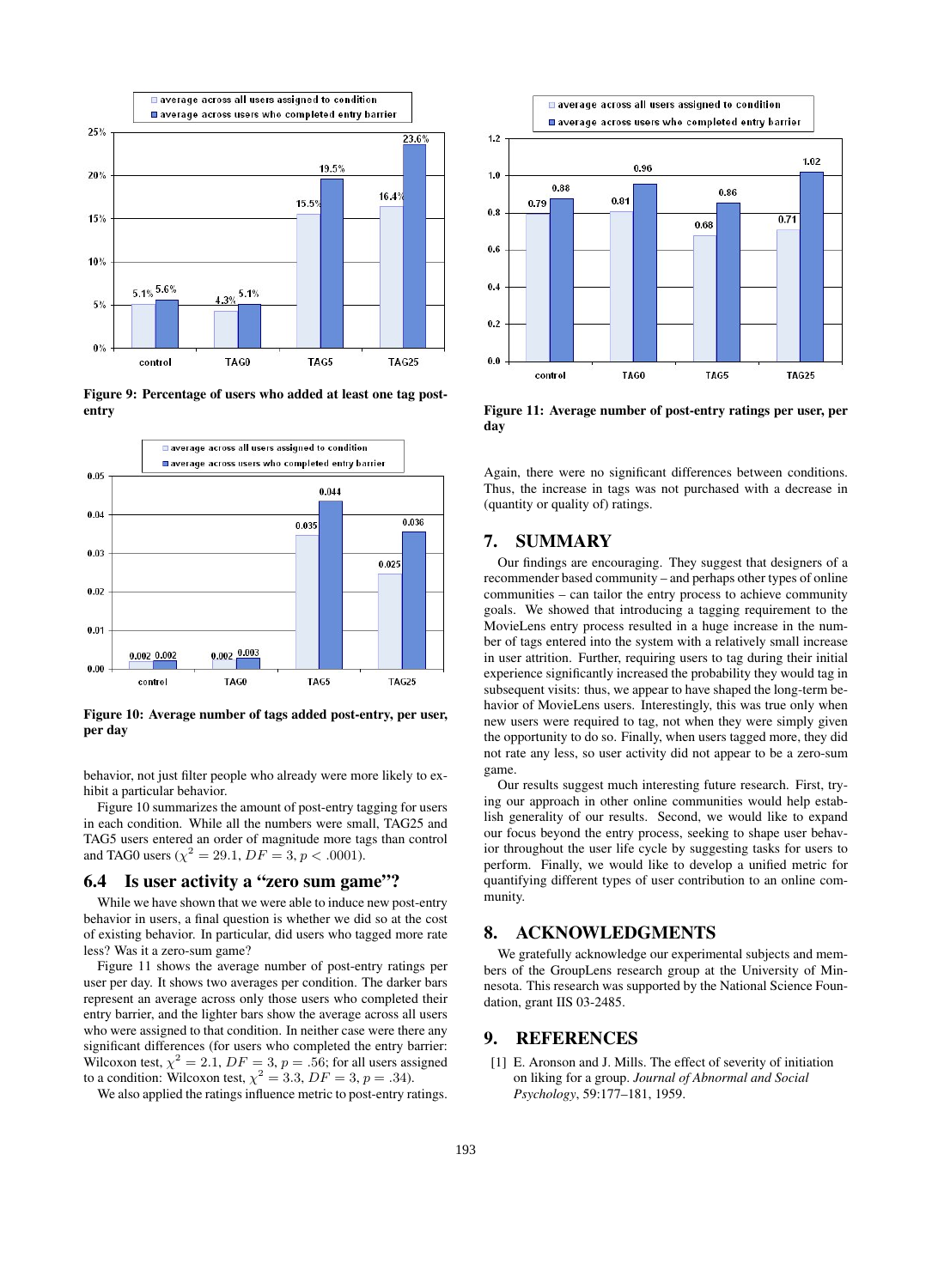

Figure 9: Percentage of users who added at least one tag postentry



Figure 10: Average number of tags added post-entry, per user, per day

behavior, not just filter people who already were more likely to exhibit a particular behavior.

Figure 10 summarizes the amount of post-entry tagging for users in each condition. While all the numbers were small, TAG25 and TAG5 users entered an order of magnitude more tags than control and TAG0 users ( $\chi^2 = 29.1$ ,  $DF = 3$ ,  $p < .0001$ ).

#### 6.4 Is user activity a "zero sum game"?

While we have shown that we were able to induce new post-entry behavior in users, a final question is whether we did so at the cost of existing behavior. In particular, did users who tagged more rate less? Was it a zero-sum game?

Figure 11 shows the average number of post-entry ratings per user per day. It shows two averages per condition. The darker bars represent an average across only those users who completed their entry barrier, and the lighter bars show the average across all users who were assigned to that condition. In neither case were there any significant differences (for users who completed the entry barrier: Wilcoxon test,  $\chi^2 = 2.1$ ,  $DF = 3$ ,  $p = .56$ ; for all users assigned to a condition: Wilcoxon test,  $\chi^2 = 3.3$ ,  $DF = 3$ ,  $p = .34$ ).

We also applied the ratings influence metric to post-entry ratings.



Figure 11: Average number of post-entry ratings per user, per day

Again, there were no significant differences between conditions. Thus, the increase in tags was not purchased with a decrease in (quantity or quality of) ratings.

#### 7. SUMMARY

Our findings are encouraging. They suggest that designers of a recommender based community – and perhaps other types of online communities – can tailor the entry process to achieve community goals. We showed that introducing a tagging requirement to the MovieLens entry process resulted in a huge increase in the number of tags entered into the system with a relatively small increase in user attrition. Further, requiring users to tag during their initial experience significantly increased the probability they would tag in subsequent visits: thus, we appear to have shaped the long-term behavior of MovieLens users. Interestingly, this was true only when new users were required to tag, not when they were simply given the opportunity to do so. Finally, when users tagged more, they did not rate any less, so user activity did not appear to be a zero-sum game.

Our results suggest much interesting future research. First, trying our approach in other online communities would help establish generality of our results. Second, we would like to expand our focus beyond the entry process, seeking to shape user behavior throughout the user life cycle by suggesting tasks for users to perform. Finally, we would like to develop a unified metric for quantifying different types of user contribution to an online community.

#### 8. ACKNOWLEDGMENTS

We gratefully acknowledge our experimental subjects and members of the GroupLens research group at the University of Minnesota. This research was supported by the National Science Foundation, grant IIS 03-2485.

#### 9. REFERENCES

[1] E. Aronson and J. Mills. The effect of severity of initiation on liking for a group. *Journal of Abnormal and Social Psychology*, 59:177–181, 1959.